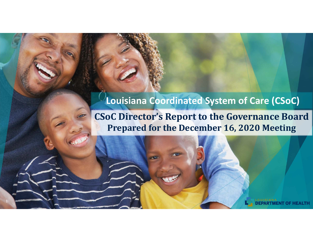#### **Louisiana Coordinated System of Care (CSoC)**

#### **CSoC Director's Report to the Governance Board Prepared for the December 16, 2020 Meeting**

1

LTH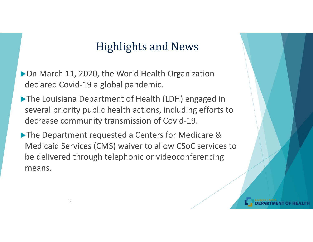### Highlights and News

▶ On March 11, 2020, the World Health Organization declared Covid‐19 a global pandemic.

- The Louisiana Department of Health (LDH) engaged in several priority public health actions, including efforts to decrease community transmission of Covid‐19.
- The Department requested a Centers for Medicare & Medicaid Services (CMS) waiver to allow CSoC services to be delivered through telephonic or videoconferencing means.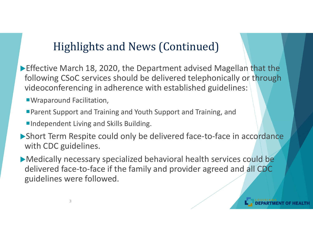**Effective March 18, 2020, the Department advised Magellan that the** following CSoC services should be delivered telephonically or through videoconferencing in adherence with established guidelines:

Wraparound Facilitation,

3

- Parent Support and Training and Youth Support and Training, and
- **Independent Living and Skills Building.**
- ▶ Short Term Respite could only be delivered face-to-face in accordance with CDC guidelines.

Medically necessary specialized behavioral health services could be delivered face-to-face if the family and provider agreed and all CDC guidelines were followed.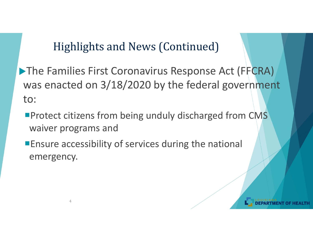**The Families First Coronavirus Response Act (FFCRA)** was enacted on 3/18/2020 by the federal government to:

- **Protect citizens from being unduly discharged from CMS** waiver programs and
- **Ensure accessibility of services during the national** emergency.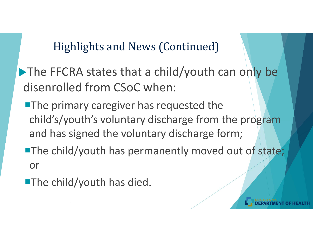The FFCRA states that a child/youth can only be disenrolled from CSoC when:

**The primary caregiver has requested the** child's/youth's voluntary discharge from the program and has signed the voluntary discharge form;

**The child/youth has permanently moved out of state;** or

**The child/youth has died.**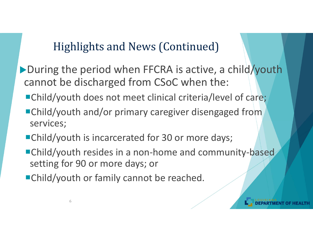- ▶ During the period when FFCRA is active, a child/youth cannot be discharged from CSoC when the:
	- ■Child/youth does not meet clinical criteria/level of care;
	- ■Child/youth and/or primary caregiver disengaged from services;
	- ■Child/youth is incarcerated for 30 or more days;
	- ■Child/youth resides in a non-home and community-based setting for 90 or more days; or
	- ■Child/youth or family cannot be reached.

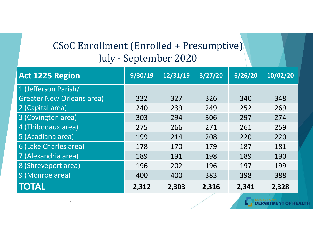### CSoC Enrollment (Enrolled + Presumptive) July - September 2020

| <b>Act 1225 Region</b>           | 9/30/19 | 12/31/19 | 3/27/20 | 6/26/20 | 10/02/20 |
|----------------------------------|---------|----------|---------|---------|----------|
| 1 (Jefferson Parish/             |         |          |         |         |          |
| <b>Greater New Orleans area)</b> | 332     | 327      | 326     | 340     | 348      |
| 2 (Capital area)                 | 240     | 239      | 249     | 252     | 269      |
| 3 (Covington area)               | 303     | 294      | 306     | 297     | 274      |
| 4 (Thibodaux area)               | 275     | 266      | 271     | 261     | 259      |
| 5 (Acadiana area)                | 199     | 214      | 208     | 220     | 220      |
| 6 (Lake Charles area)            | 178     | 170      | 179     | 187     | 181      |
| 7 (Alexandria area)              | 189     | 191      | 198     | 189     | 190      |
| 8 (Shreveport area)              | 196     | 202      | 196     | 197     | 199      |
| 9 (Monroe area)                  | 400     | 400      | 383     | 398     | 388      |
| <b>TOTAL</b>                     | 2,312   | 2,303    | 2,316   | 2,341   | 2,328    |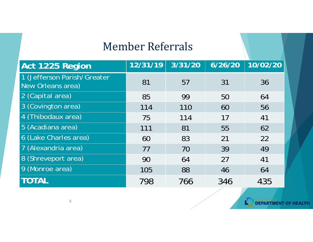### Member Referrals

| Act 1225 Region                                  | 12/31/19 | 3/31/20 | 6/26/20 | 10/02/20 |
|--------------------------------------------------|----------|---------|---------|----------|
| 1 (Jefferson Parish/Greater<br>New Orleans area) | 81       | 57      | 31      | 36       |
| 2 (Capital area)                                 | 85       | 99      | 50      | 64       |
| 3 (Covington area)                               | 114      | 110     | 60      | 56       |
| 4 (Thibodaux area)                               | 75       | 114     | 17      | 41       |
| 5 (Acadiana area)                                | 111      | 81      | 55      | 62       |
| 6 (Lake Charles area)                            | 60       | 83      | 21      | 22       |
| 7 (Alexandria area)                              | 77       | 70      | 39      | 49       |
| 8 (Shreveport area)                              | 90       | 64      | 27      | 41       |
| 9 (Monroe area)                                  | 105      | 88      | 46      | 64       |
| <b>TOTAL</b>                                     | 798      | 766     | 346     | 435      |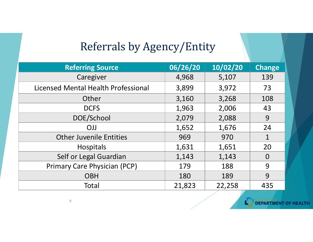### Referrals by Agency/Entity

| <b>Referring Source</b>             | 06/26/20 | 10/02/20 | <b>Change</b>  |
|-------------------------------------|----------|----------|----------------|
| Caregiver                           | 4,968    | 5,107    | 139            |
| Licensed Mental Health Professional | 3,899    | 3,972    | 73             |
| Other                               | 3,160    | 3,268    | 108            |
| <b>DCFS</b>                         | 1,963    | 2,006    | 43             |
| DOE/School                          | 2,079    | 2,088    | 9              |
| <b>OJJ</b>                          | 1,652    | 1,676    | 24             |
| <b>Other Juvenile Entities</b>      | 969      | 970      | 1              |
| <b>Hospitals</b>                    | 1,631    | 1,651    | 20             |
| Self or Legal Guardian              | 1,143    | 1,143    | $\overline{0}$ |
| <b>Primary Care Physician (PCP)</b> | 179      | 188      | 9              |
| <b>OBH</b>                          | 180      | 189      | 9              |
| Total                               | 21,823   | 22,258   | 435            |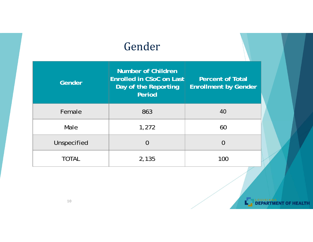### Gender

| Gender       | <b>Number of Children</b><br>Enrolled in CSoC on Last<br>Day of the Reporting<br>Period | <b>Percent of Total</b><br><b>Enrollment by Gender</b> |  |
|--------------|-----------------------------------------------------------------------------------------|--------------------------------------------------------|--|
| Female       | 863                                                                                     | 40                                                     |  |
| Male         | 1,272                                                                                   | 60                                                     |  |
| Unspecified  | $\overline{0}$                                                                          | 0                                                      |  |
| <b>TOTAL</b> | 2,135                                                                                   | 100                                                    |  |

LOUISIANA OF HEALTH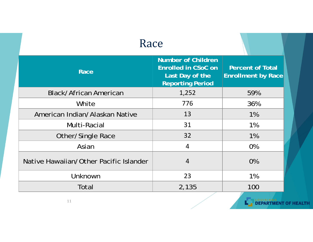| Race                                   |                                                                                                       |                                                      |  |
|----------------------------------------|-------------------------------------------------------------------------------------------------------|------------------------------------------------------|--|
| Race                                   | <b>Number of Children</b><br><b>Enrolled in CSoC on</b><br>Last Day of the<br><b>Reporting Period</b> | <b>Percent of Total</b><br><b>Enrollment by Race</b> |  |
| <b>Black/African American</b>          | 1,252                                                                                                 | 59%                                                  |  |
| White                                  | 776                                                                                                   | 36%                                                  |  |
| American Indian/Alaskan Native         | 13                                                                                                    | $1\%$                                                |  |
| Multi-Racial                           | 31                                                                                                    | $1\%$                                                |  |
| <b>Other/Single Race</b>               | 32                                                                                                    | 1%                                                   |  |
| Asian                                  | $\overline{4}$                                                                                        | 0%                                                   |  |
| Native Hawaiian/Other Pacific Islander | $\overline{4}$                                                                                        | 0%                                                   |  |
| Unknown                                | 23                                                                                                    | $1\%$                                                |  |
| Total                                  | 2,135                                                                                                 | 100                                                  |  |

LE DEPARTMENT OF HEALTH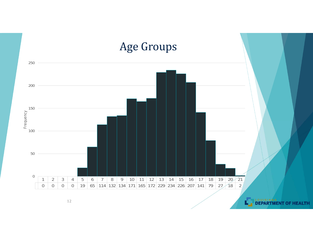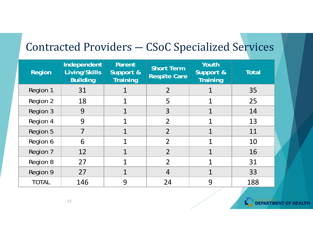# Contracted Providers ― CSoC Specialized Services

| <b>Region</b> | Independent<br>Living/Skills<br><b>Building</b> | Parent<br>Support &<br>Training | <b>Short Term</b><br><b>Respite Care</b> | Youth<br>Support &<br><b>Training</b> | <b>Total</b> |
|---------------|-------------------------------------------------|---------------------------------|------------------------------------------|---------------------------------------|--------------|
| Region 1      | 31                                              |                                 | $\overline{2}$                           |                                       | 35           |
| Region 2      | 18                                              |                                 | 5                                        |                                       | 25           |
| Region 3      | 9                                               |                                 | 3                                        |                                       | 14           |
| Region 4      | 9                                               |                                 | $\overline{2}$                           |                                       | 13           |
| Region 5      | 7                                               |                                 | $\overline{2}$                           |                                       | 11           |
| Region 6      | 6                                               | 1                               | $\overline{2}$                           |                                       | 10           |
| Region 7      | 12                                              | 1                               | $\overline{2}$                           |                                       | 16           |
| Region 8      | 27                                              | 1                               | $\overline{2}$                           |                                       | 31           |
| Region 9      | 27                                              |                                 | $\overline{4}$                           |                                       | 33           |
| <b>TOTAL</b>  | 146                                             | 9                               | 24                                       | 9                                     | 188          |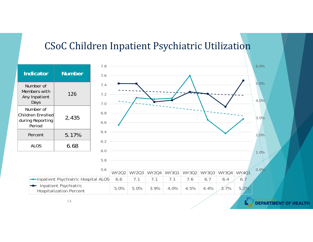#### CSoC Children Inpatient Psychiatric Utilization

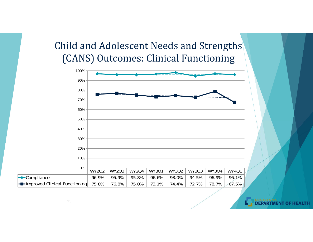#### Child and Adolescent Needs and Strengths (CANS) Outcomes: Clinical Functioning



**DEPARTMENT OF HEALTH**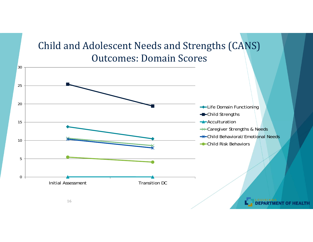### Child and Adolescent Needs and Strengths (CANS) Outcomes: Domain Scores

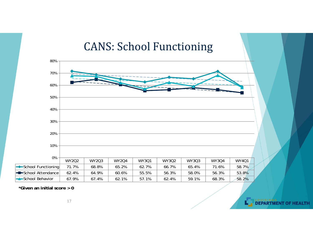#### CANS: School Functioning



**DEPARTMENT OF HEALTH** 

**\*Given an initial score > 0**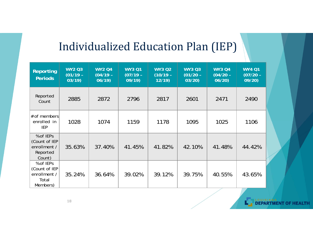# Individualized Education Plan (IEP)

| Reporting<br><b>Periods</b>                                      | <b>WY2 Q3</b><br>$(01/19 -$<br>03/19 | <b>WY2 Q4</b><br>$(04/19 -$<br>06/19 | <b>WY3 Q1</b><br>$(07/19 -$<br>09/19 | <b>WY3 Q2</b><br>$(10/19 -$<br>12/19 | <b>WY3 Q3</b><br>$(01/20 -$<br>03/20 | <b>WY3 Q4</b><br>$(04/20 -$<br>06/20 | <b>WY4 Q1</b><br>$(07/20 -$<br>09/20 |
|------------------------------------------------------------------|--------------------------------------|--------------------------------------|--------------------------------------|--------------------------------------|--------------------------------------|--------------------------------------|--------------------------------------|
| Reported<br>Count                                                | 2885                                 | 2872                                 | 2796                                 | 2817                                 | 2601                                 | 2471                                 | 2490                                 |
| # of members<br>enrolled in<br><b>IEP</b>                        | 1028                                 | 1074                                 | 1159                                 | 1178                                 | 1095                                 | 1025                                 | 1106                                 |
| % of IEPs<br>(Count of IEP<br>enrollment /<br>Reported<br>Count) | 35.63%                               | 37.40%                               | 41.45%                               | 41.82%                               | 42.10%                               | 41.48%                               | 44.42%                               |
| % of IEPs<br>(Count of IEP<br>enrollment /<br>Total<br>Members)  | 35.24%                               | 36.64%                               | 39.02%                               | 39.12%                               | 39.75%                               | 40.55%                               | 43.65%                               |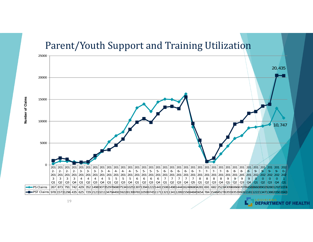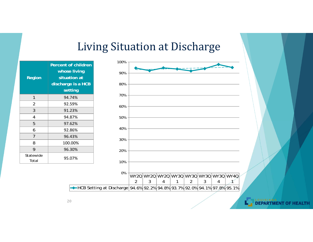### Living Situation at Discharge

| Region             | <b>Percent of children</b><br>whose living<br>situation at<br>discharge is a HCB<br>setting |
|--------------------|---------------------------------------------------------------------------------------------|
| 1                  | 94.74%                                                                                      |
| 2                  | 92.59%                                                                                      |
| 3                  | 91.23%                                                                                      |
| 4                  | 94.87%                                                                                      |
| 5                  | 97.62%                                                                                      |
| 6                  | 92.86%                                                                                      |
| 7                  | 96.43%                                                                                      |
| 8                  | 100.00%                                                                                     |
| 9                  | 96.30%                                                                                      |
| Statewide<br>Total | 95.07%                                                                                      |